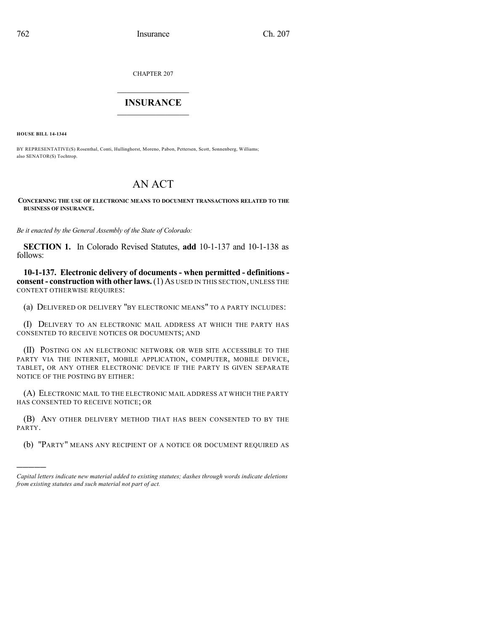CHAPTER 207

## $\overline{\phantom{a}}$  . The set of the set of the set of the set of the set of the set of the set of the set of the set of the set of the set of the set of the set of the set of the set of the set of the set of the set of the set o **INSURANCE**  $\frac{1}{2}$  ,  $\frac{1}{2}$  ,  $\frac{1}{2}$  ,  $\frac{1}{2}$  ,  $\frac{1}{2}$  ,  $\frac{1}{2}$  ,  $\frac{1}{2}$

**HOUSE BILL 14-1344**

)))))

BY REPRESENTATIVE(S) Rosenthal, Conti, Hullinghorst, Moreno, Pabon, Pettersen, Scott, Sonnenberg, Williams; also SENATOR(S) Tochtrop.

## AN ACT

**CONCERNING THE USE OF ELECTRONIC MEANS TO DOCUMENT TRANSACTIONS RELATED TO THE BUSINESS OF INSURANCE.**

*Be it enacted by the General Assembly of the State of Colorado:*

**SECTION 1.** In Colorado Revised Statutes, **add** 10-1-137 and 10-1-138 as follows:

**10-1-137. Electronic delivery of documents - when permitted - definitions consent- construction with other laws.**(1) AS USED IN THIS SECTION, UNLESS THE CONTEXT OTHERWISE REQUIRES:

(a) DELIVERED OR DELIVERY "BY ELECTRONIC MEANS" TO A PARTY INCLUDES:

(I) DELIVERY TO AN ELECTRONIC MAIL ADDRESS AT WHICH THE PARTY HAS CONSENTED TO RECEIVE NOTICES OR DOCUMENTS; AND

(II) POSTING ON AN ELECTRONIC NETWORK OR WEB SITE ACCESSIBLE TO THE PARTY VIA THE INTERNET, MOBILE APPLICATION, COMPUTER, MOBILE DEVICE, TABLET, OR ANY OTHER ELECTRONIC DEVICE IF THE PARTY IS GIVEN SEPARATE NOTICE OF THE POSTING BY EITHER:

(A) ELECTRONIC MAIL TO THE ELECTRONIC MAIL ADDRESS AT WHICH THE PARTY HAS CONSENTED TO RECEIVE NOTICE; OR

(B) ANY OTHER DELIVERY METHOD THAT HAS BEEN CONSENTED TO BY THE PARTY.

(b) "PARTY" MEANS ANY RECIPIENT OF A NOTICE OR DOCUMENT REQUIRED AS

*Capital letters indicate new material added to existing statutes; dashes through words indicate deletions from existing statutes and such material not part of act.*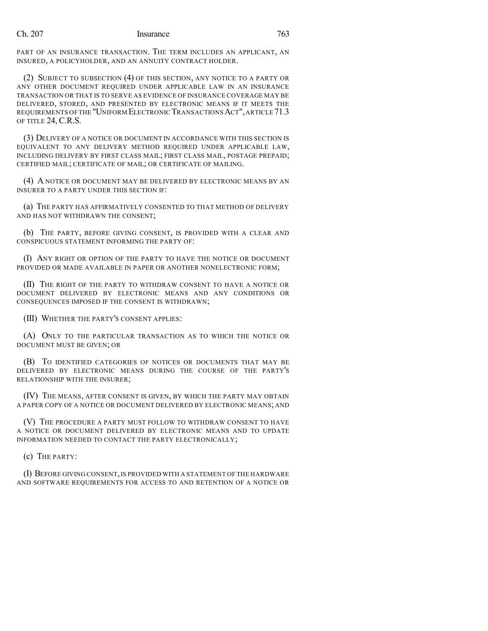## Ch. 207 Insurance 763

PART OF AN INSURANCE TRANSACTION. THE TERM INCLUDES AN APPLICANT, AN INSURED, A POLICYHOLDER, AND AN ANNUITY CONTRACT HOLDER.

(2) SUBJECT TO SUBSECTION (4) OF THIS SECTION, ANY NOTICE TO A PARTY OR ANY OTHER DOCUMENT REQUIRED UNDER APPLICABLE LAW IN AN INSURANCE TRANSACTION OR THAT IS TO SERVE AS EVIDENCE OF INSURANCE COVERAGE MAY BE DELIVERED, STORED, AND PRESENTED BY ELECTRONIC MEANS IF IT MEETS THE REQUIREMENTS OFTHE "UNIFORM ELECTRONIC TRANSACTIONSACT",ARTICLE 71.3 OF TITLE 24, C.R.S.

(3) DELIVERY OF A NOTICE OR DOCUMENT IN ACCORDANCE WITH THIS SECTION IS EQUIVALENT TO ANY DELIVERY METHOD REQUIRED UNDER APPLICABLE LAW, INCLUDING DELIVERY BY FIRST CLASS MAIL; FIRST CLASS MAIL, POSTAGE PREPAID; CERTIFIED MAIL; CERTIFICATE OF MAIL; OR CERTIFICATE OF MAILING.

(4) A NOTICE OR DOCUMENT MAY BE DELIVERED BY ELECTRONIC MEANS BY AN INSURER TO A PARTY UNDER THIS SECTION IF:

(a) THE PARTY HAS AFFIRMATIVELY CONSENTED TO THAT METHOD OF DELIVERY AND HAS NOT WITHDRAWN THE CONSENT;

(b) THE PARTY, BEFORE GIVING CONSENT, IS PROVIDED WITH A CLEAR AND CONSPICUOUS STATEMENT INFORMING THE PARTY OF:

(I) ANY RIGHT OR OPTION OF THE PARTY TO HAVE THE NOTICE OR DOCUMENT PROVIDED OR MADE AVAILABLE IN PAPER OR ANOTHER NONELECTRONIC FORM;

(II) THE RIGHT OF THE PARTY TO WITHDRAW CONSENT TO HAVE A NOTICE OR DOCUMENT DELIVERED BY ELECTRONIC MEANS AND ANY CONDITIONS OR CONSEQUENCES IMPOSED IF THE CONSENT IS WITHDRAWN;

(III) WHETHER THE PARTY'S CONSENT APPLIES:

(A) ONLY TO THE PARTICULAR TRANSACTION AS TO WHICH THE NOTICE OR DOCUMENT MUST BE GIVEN; OR

(B) TO IDENTIFIED CATEGORIES OF NOTICES OR DOCUMENTS THAT MAY BE DELIVERED BY ELECTRONIC MEANS DURING THE COURSE OF THE PARTY'S RELATIONSHIP WITH THE INSURER;

(IV) THE MEANS, AFTER CONSENT IS GIVEN, BY WHICH THE PARTY MAY OBTAIN A PAPER COPY OF A NOTICE OR DOCUMENT DELIVERED BY ELECTRONIC MEANS; AND

(V) THE PROCEDURE A PARTY MUST FOLLOW TO WITHDRAW CONSENT TO HAVE A NOTICE OR DOCUMENT DELIVERED BY ELECTRONIC MEANS AND TO UPDATE INFORMATION NEEDED TO CONTACT THE PARTY ELECTRONICALLY;

(c) THE PARTY:

(I) BEFORE GIVING CONSENT,IS PROVIDED WITH A STATEMENT OF THE HARDWARE AND SOFTWARE REQUIREMENTS FOR ACCESS TO AND RETENTION OF A NOTICE OR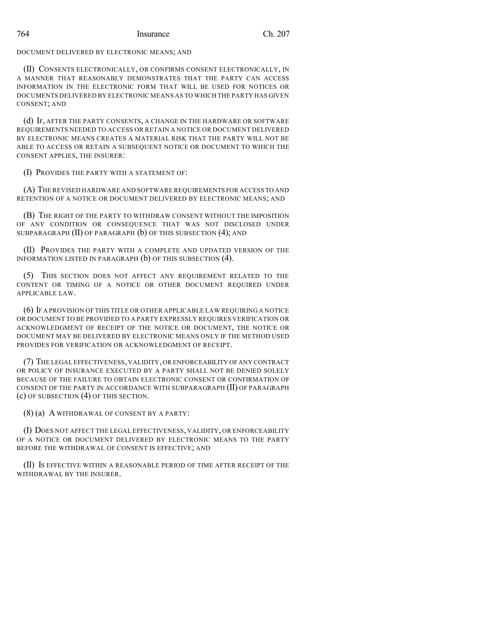DOCUMENT DELIVERED BY ELECTRONIC MEANS; AND

(II) CONSENTS ELECTRONICALLY, OR CONFIRMS CONSENT ELECTRONICALLY, IN A MANNER THAT REASONABLY DEMONSTRATES THAT THE PARTY CAN ACCESS INFORMATION IN THE ELECTRONIC FORM THAT WILL BE USED FOR NOTICES OR DOCUMENTS DELIVERED BY ELECTRONIC MEANS AS TO WHICH THE PARTY HAS GIVEN CONSENT; AND

(d) IF, AFTER THE PARTY CONSENTS, A CHANGE IN THE HARDWARE OR SOFTWARE REQUIREMENTS NEEDED TO ACCESS OR RETAIN A NOTICE OR DOCUMENT DELIVERED BY ELECTRONIC MEANS CREATES A MATERIAL RISK THAT THE PARTY WILL NOT BE ABLE TO ACCESS OR RETAIN A SUBSEQUENT NOTICE OR DOCUMENT TO WHICH THE CONSENT APPLIES, THE INSURER:

(I) PROVIDES THE PARTY WITH A STATEMENT OF:

(A) THE REVISED HARDWARE AND SOFTWARE REQUIREMENTS FOR ACCESS TO AND RETENTION OF A NOTICE OR DOCUMENT DELIVERED BY ELECTRONIC MEANS; AND

(B) THE RIGHT OF THE PARTY TO WITHDRAW CONSENT WITHOUT THE IMPOSITION OF ANY CONDITION OR CONSEQUENCE THAT WAS NOT DISCLOSED UNDER SUBPARAGRAPH (II) OF PARAGRAPH (b) OF THIS SUBSECTION (4); AND

(II) PROVIDES THE PARTY WITH A COMPLETE AND UPDATED VERSION OF THE INFORMATION LISTED IN PARAGRAPH (b) OF THIS SUBSECTION (4).

(5) THIS SECTION DOES NOT AFFECT ANY REQUIREMENT RELATED TO THE CONTENT OR TIMING OF A NOTICE OR OTHER DOCUMENT REQUIRED UNDER APPLICABLE LAW.

(6) IF A PROVISION OF THIS TITLE OR OTHER APPLICABLE LAW REQUIRING A NOTICE OR DOCUMENT TO BE PROVIDED TO A PARTY EXPRESSLY REQUIRES VERIFICATION OR ACKNOWLEDGMENT OF RECEIPT OF THE NOTICE OR DOCUMENT, THE NOTICE OR DOCUMENT MAY BE DELIVERED BY ELECTRONIC MEANS ONLY IF THE METHOD USED PROVIDES FOR VERIFICATION OR ACKNOWLEDGMENT OF RECEIPT.

(7) THE LEGAL EFFECTIVENESS,VALIDITY,OR ENFORCEABILITY OFANY CONTRACT OR POLICY OF INSURANCE EXECUTED BY A PARTY SHALL NOT BE DENIED SOLELY BECAUSE OF THE FAILURE TO OBTAIN ELECTRONIC CONSENT OR CONFIRMATION OF CONSENT OF THE PARTY IN ACCORDANCE WITH SUBPARAGRAPH (II) OF PARAGRAPH (c) OF SUBSECTION (4) OF THIS SECTION.

(8) (a) A WITHDRAWAL OF CONSENT BY A PARTY:

(I) DOES NOT AFFECT THE LEGAL EFFECTIVENESS, VALIDITY, OR ENFORCEABILITY OF A NOTICE OR DOCUMENT DELIVERED BY ELECTRONIC MEANS TO THE PARTY BEFORE THE WITHDRAWAL OF CONSENT IS EFFECTIVE; AND

(II) IS EFFECTIVE WITHIN A REASONABLE PERIOD OF TIME AFTER RECEIPT OF THE WITHDRAWAL BY THE INSURER.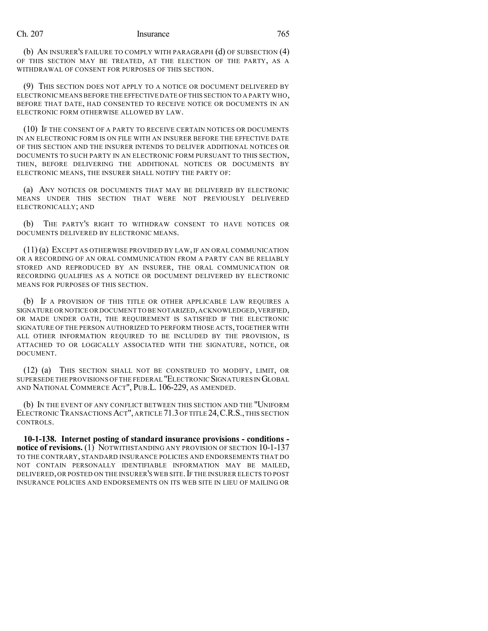## Ch. 207 Insurance 765

(b) AN INSURER'S FAILURE TO COMPLY WITH PARAGRAPH (d) OF SUBSECTION (4) OF THIS SECTION MAY BE TREATED, AT THE ELECTION OF THE PARTY, AS A WITHDRAWAL OF CONSENT FOR PURPOSES OF THIS SECTION.

(9) THIS SECTION DOES NOT APPLY TO A NOTICE OR DOCUMENT DELIVERED BY ELECTRONIC MEANS BEFORE THE EFFECTIVE DATE OF THIS SECTION TO A PARTY WHO, BEFORE THAT DATE, HAD CONSENTED TO RECEIVE NOTICE OR DOCUMENTS IN AN ELECTRONIC FORM OTHERWISE ALLOWED BY LAW.

(10) IF THE CONSENT OF A PARTY TO RECEIVE CERTAIN NOTICES OR DOCUMENTS IN AN ELECTRONIC FORM IS ON FILE WITH AN INSURER BEFORE THE EFFECTIVE DATE OF THIS SECTION AND THE INSURER INTENDS TO DELIVER ADDITIONAL NOTICES OR DOCUMENTS TO SUCH PARTY IN AN ELECTRONIC FORM PURSUANT TO THIS SECTION, THEN, BEFORE DELIVERING THE ADDITIONAL NOTICES OR DOCUMENTS BY ELECTRONIC MEANS, THE INSURER SHALL NOTIFY THE PARTY OF:

(a) ANY NOTICES OR DOCUMENTS THAT MAY BE DELIVERED BY ELECTRONIC MEANS UNDER THIS SECTION THAT WERE NOT PREVIOUSLY DELIVERED ELECTRONICALLY; AND

(b) THE PARTY'S RIGHT TO WITHDRAW CONSENT TO HAVE NOTICES OR DOCUMENTS DELIVERED BY ELECTRONIC MEANS.

(11) (a) EXCEPT AS OTHERWISE PROVIDED BY LAW, IF AN ORAL COMMUNICATION OR A RECORDING OF AN ORAL COMMUNICATION FROM A PARTY CAN BE RELIABLY STORED AND REPRODUCED BY AN INSURER, THE ORAL COMMUNICATION OR RECORDING QUALIFIES AS A NOTICE OR DOCUMENT DELIVERED BY ELECTRONIC MEANS FOR PURPOSES OF THIS SECTION.

(b) IF A PROVISION OF THIS TITLE OR OTHER APPLICABLE LAW REQUIRES A SIGNATURE OR NOTICE OR DOCUMENT TO BE NOTARIZED, ACKNOWLEDGED, VERIFIED, OR MADE UNDER OATH, THE REQUIREMENT IS SATISFIED IF THE ELECTRONIC SIGNATURE OF THE PERSON AUTHORIZED TO PERFORM THOSE ACTS, TOGETHER WITH ALL OTHER INFORMATION REQUIRED TO BE INCLUDED BY THE PROVISION, IS ATTACHED TO OR LOGICALLY ASSOCIATED WITH THE SIGNATURE, NOTICE, OR DOCUMENT.

(12) (a) THIS SECTION SHALL NOT BE CONSTRUED TO MODIFY, LIMIT, OR SUPERSEDE THE PROVISIONS OF THE FEDERAL "ELECTRONIC SIGNATURES IN GLOBAL AND NATIONAL COMMERCE ACT", PUB.L. 106-229, AS AMENDED.

(b) IN THE EVENT OF ANY CONFLICT BETWEEN THIS SECTION AND THE "UNIFORM ELECTRONIC TRANSACTIONS ACT", ARTICLE 71.3 OF TITLE 24, C.R.S., THIS SECTION CONTROLS.

**10-1-138. Internet posting of standard insurance provisions - conditions notice of revisions.** (1) NOTWITHSTANDING ANY PROVISION OF SECTION 10-1-137 TO THE CONTRARY, STANDARD INSURANCE POLICIES AND ENDORSEMENTS THAT DO NOT CONTAIN PERSONALLY IDENTIFIABLE INFORMATION MAY BE MAILED, DELIVERED, OR POSTED ON THE INSURER'S WEB SITE. IF THE INSURER ELECTS TO POST INSURANCE POLICIES AND ENDORSEMENTS ON ITS WEB SITE IN LIEU OF MAILING OR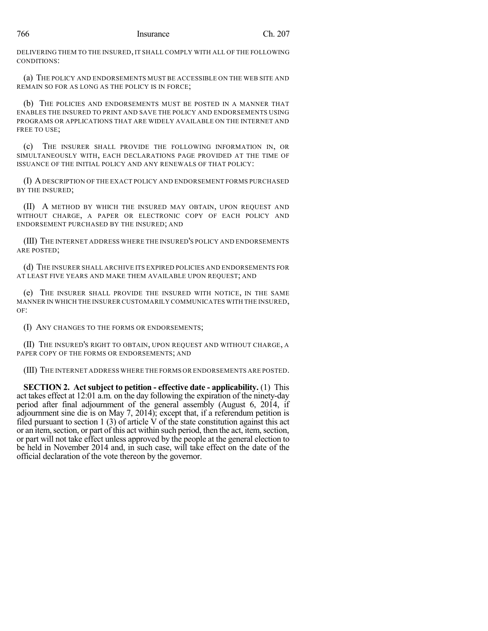DELIVERING THEM TO THE INSURED, IT SHALL COMPLY WITH ALL OF THE FOLLOWING CONDITIONS:

(a) THE POLICY AND ENDORSEMENTS MUST BE ACCESSIBLE ON THE WEB SITE AND REMAIN SO FOR AS LONG AS THE POLICY IS IN FORCE;

(b) THE POLICIES AND ENDORSEMENTS MUST BE POSTED IN A MANNER THAT ENABLES THE INSURED TO PRINT AND SAVE THE POLICY AND ENDORSEMENTS USING PROGRAMS OR APPLICATIONS THAT ARE WIDELY AVAILABLE ON THE INTERNET AND FREE TO USE:

(c) THE INSURER SHALL PROVIDE THE FOLLOWING INFORMATION IN, OR SIMULTANEOUSLY WITH, EACH DECLARATIONS PAGE PROVIDED AT THE TIME OF ISSUANCE OF THE INITIAL POLICY AND ANY RENEWALS OF THAT POLICY:

(I) ADESCRIPTION OF THE EXACT POLICY AND ENDORSEMENT FORMS PURCHASED BY THE INSURED;

(II) A METHOD BY WHICH THE INSURED MAY OBTAIN, UPON REQUEST AND WITHOUT CHARGE, A PAPER OR ELECTRONIC COPY OF EACH POLICY AND ENDORSEMENT PURCHASED BY THE INSURED; AND

(III) THE INTERNET ADDRESS WHERE THE INSURED'S POLICY AND ENDORSEMENTS ARE POSTED;

(d) THE INSURER SHALL ARCHIVE ITS EXPIRED POLICIES AND ENDORSEMENTS FOR AT LEAST FIVE YEARS AND MAKE THEM AVAILABLE UPON REQUEST; AND

(e) THE INSURER SHALL PROVIDE THE INSURED WITH NOTICE, IN THE SAME MANNER IN WHICH THE INSURER CUSTOMARILY COMMUNICATES WITH THE INSURED,  $\Omega$ F<sup>\*</sup>

(I) ANY CHANGES TO THE FORMS OR ENDORSEMENTS;

(II) THE INSURED'S RIGHT TO OBTAIN, UPON REQUEST AND WITHOUT CHARGE, A PAPER COPY OF THE FORMS OR ENDORSEMENTS; AND

(III) THE INTERNET ADDRESS WHERE THE FORMS OR ENDORSEMENTS ARE POSTED.

**SECTION 2. Act subject to petition - effective date - applicability.** (1) This act takes effect at 12:01 a.m. on the day following the expiration of the ninety-day period after final adjournment of the general assembly (August 6, 2014, if adjournment sine die is on May 7, 2014); except that, if a referendum petition is filed pursuant to section 1 (3) of article  $\dot{V}$  of the state constitution against this act or an item, section, or part of this act within such period, then the act, item, section, or part will not take effect unless approved by the people at the general election to be held in November 2014 and, in such case, will take effect on the date of the official declaration of the vote thereon by the governor.